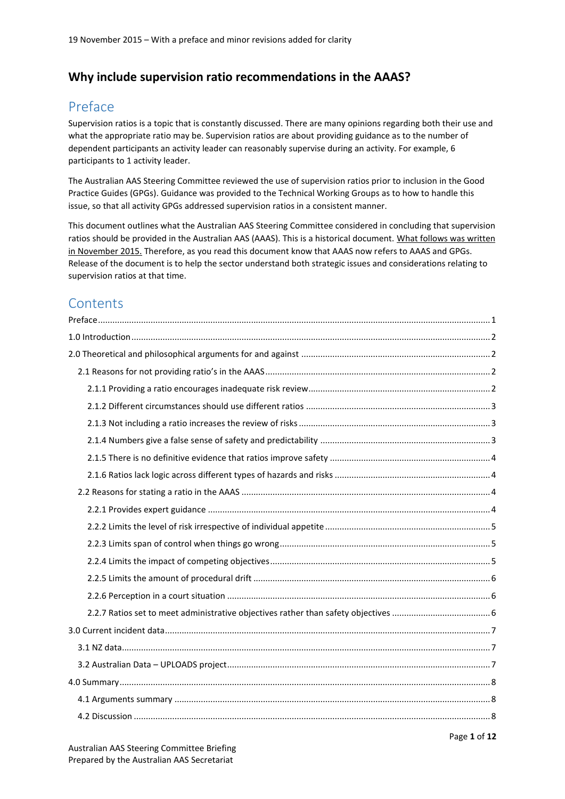## **Why include supervision ratio recommendations in the AAAS?**

## <span id="page-0-0"></span>Preface

Supervision ratios is a topic that is constantly discussed. There are many opinions regarding both their use and what the appropriate ratio may be. Supervision ratios are about providing guidance as to the number of dependent participants an activity leader can reasonably supervise during an activity. For example, 6 participants to 1 activity leader.

The Australian AAS Steering Committee reviewed the use of supervision ratios prior to inclusion in the Good Practice Guides (GPGs). Guidance was provided to the Technical Working Groups as to how to handle this issue, so that all activity GPGs addressed supervision ratios in a consistent manner.

This document outlines what the Australian AAS Steering Committee considered in concluding that supervision ratios should be provided in the Australian AAS (AAAS). This is a historical document. What follows was written in November 2015. Therefore, as you read this document know that AAAS now refers to AAAS and GPGs. Release of the document is to help the sector understand both strategic issues and considerations relating to supervision ratios at that time.

## **Contents**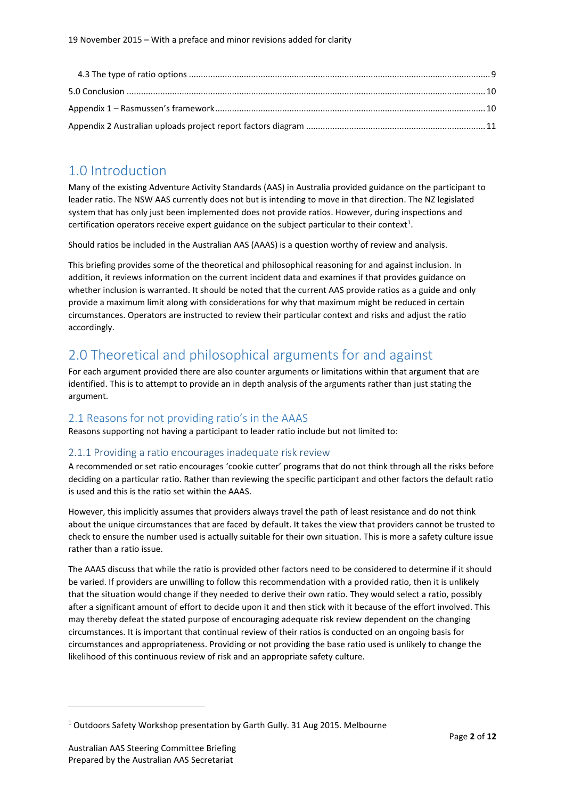## <span id="page-1-0"></span>1.0 Introduction

Many of the existing Adventure Activity Standards (AAS) in Australia provided guidance on the participant to leader ratio. The NSW AAS currently does not but is intending to move in that direction. The NZ legislated system that has only just been implemented does not provide ratios. However, during inspections and certification operators receive expert guidance on the subject particular to their context<sup>1</sup>.

Should ratios be included in the Australian AAS (AAAS) is a question worthy of review and analysis.

This briefing provides some of the theoretical and philosophical reasoning for and against inclusion. In addition, it reviews information on the current incident data and examines if that provides guidance on whether inclusion is warranted. It should be noted that the current AAS provide ratios as a guide and only provide a maximum limit along with considerations for why that maximum might be reduced in certain circumstances. Operators are instructed to review their particular context and risks and adjust the ratio accordingly.

## <span id="page-1-1"></span>2.0 Theoretical and philosophical arguments for and against

For each argument provided there are also counter arguments or limitations within that argument that are identified. This is to attempt to provide an in depth analysis of the arguments rather than just stating the argument.

## <span id="page-1-2"></span>2.1 Reasons for not providing ratio's in the AAAS

Reasons supporting not having a participant to leader ratio include but not limited to:

## <span id="page-1-3"></span>2.1.1 Providing a ratio encourages inadequate risk review

A recommended or set ratio encourages 'cookie cutter' programs that do not think through all the risks before deciding on a particular ratio. Rather than reviewing the specific participant and other factors the default ratio is used and this is the ratio set within the AAAS.

However, this implicitly assumes that providers always travel the path of least resistance and do not think about the unique circumstances that are faced by default. It takes the view that providers cannot be trusted to check to ensure the number used is actually suitable for their own situation. This is more a safety culture issue rather than a ratio issue.

The AAAS discuss that while the ratio is provided other factors need to be considered to determine if it should be varied. If providers are unwilling to follow this recommendation with a provided ratio, then it is unlikely that the situation would change if they needed to derive their own ratio. They would select a ratio, possibly after a significant amount of effort to decide upon it and then stick with it because of the effort involved. This may thereby defeat the stated purpose of encouraging adequate risk review dependent on the changing circumstances. It is important that continual review of their ratios is conducted on an ongoing basis for circumstances and appropriateness. Providing or not providing the base ratio used is unlikely to change the likelihood of this continuous review of risk and an appropriate safety culture.

<sup>&</sup>lt;sup>1</sup> Outdoors Safety Workshop presentation by Garth Gully. 31 Aug 2015. Melbourne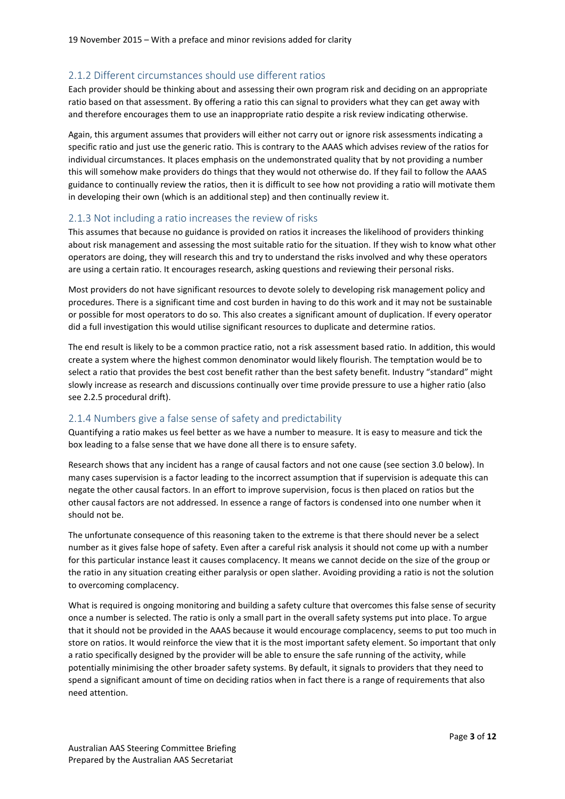### <span id="page-2-0"></span>2.1.2 Different circumstances should use different ratios

Each provider should be thinking about and assessing their own program risk and deciding on an appropriate ratio based on that assessment. By offering a ratio this can signal to providers what they can get away with and therefore encourages them to use an inappropriate ratio despite a risk review indicating otherwise.

Again, this argument assumes that providers will either not carry out or ignore risk assessments indicating a specific ratio and just use the generic ratio. This is contrary to the AAAS which advises review of the ratios for individual circumstances. It places emphasis on the undemonstrated quality that by not providing a number this will somehow make providers do things that they would not otherwise do. If they fail to follow the AAAS guidance to continually review the ratios, then it is difficult to see how not providing a ratio will motivate them in developing their own (which is an additional step) and then continually review it.

#### <span id="page-2-1"></span>2.1.3 Not including a ratio increases the review of risks

This assumes that because no guidance is provided on ratios it increases the likelihood of providers thinking about risk management and assessing the most suitable ratio for the situation. If they wish to know what other operators are doing, they will research this and try to understand the risks involved and why these operators are using a certain ratio. It encourages research, asking questions and reviewing their personal risks.

Most providers do not have significant resources to devote solely to developing risk management policy and procedures. There is a significant time and cost burden in having to do this work and it may not be sustainable or possible for most operators to do so. This also creates a significant amount of duplication. If every operator did a full investigation this would utilise significant resources to duplicate and determine ratios.

The end result is likely to be a common practice ratio, not a risk assessment based ratio. In addition, this would create a system where the highest common denominator would likely flourish. The temptation would be to select a ratio that provides the best cost benefit rather than the best safety benefit. Industry "standard" might slowly increase as research and discussions continually over time provide pressure to use a higher ratio (also see 2.2.5 procedural drift).

#### <span id="page-2-2"></span>2.1.4 Numbers give a false sense of safety and predictability

Quantifying a ratio makes us feel better as we have a number to measure. It is easy to measure and tick the box leading to a false sense that we have done all there is to ensure safety.

Research shows that any incident has a range of causal factors and not one cause (see section 3.0 below). In many cases supervision is a factor leading to the incorrect assumption that if supervision is adequate this can negate the other causal factors. In an effort to improve supervision, focus is then placed on ratios but the other causal factors are not addressed. In essence a range of factors is condensed into one number when it should not be.

The unfortunate consequence of this reasoning taken to the extreme is that there should never be a select number as it gives false hope of safety. Even after a careful risk analysis it should not come up with a number for this particular instance least it causes complacency. It means we cannot decide on the size of the group or the ratio in any situation creating either paralysis or open slather. Avoiding providing a ratio is not the solution to overcoming complacency.

What is required is ongoing monitoring and building a safety culture that overcomes this false sense of security once a number is selected. The ratio is only a small part in the overall safety systems put into place. To argue that it should not be provided in the AAAS because it would encourage complacency, seems to put too much in store on ratios. It would reinforce the view that it is the most important safety element. So important that only a ratio specifically designed by the provider will be able to ensure the safe running of the activity, while potentially minimising the other broader safety systems. By default, it signals to providers that they need to spend a significant amount of time on deciding ratios when in fact there is a range of requirements that also need attention.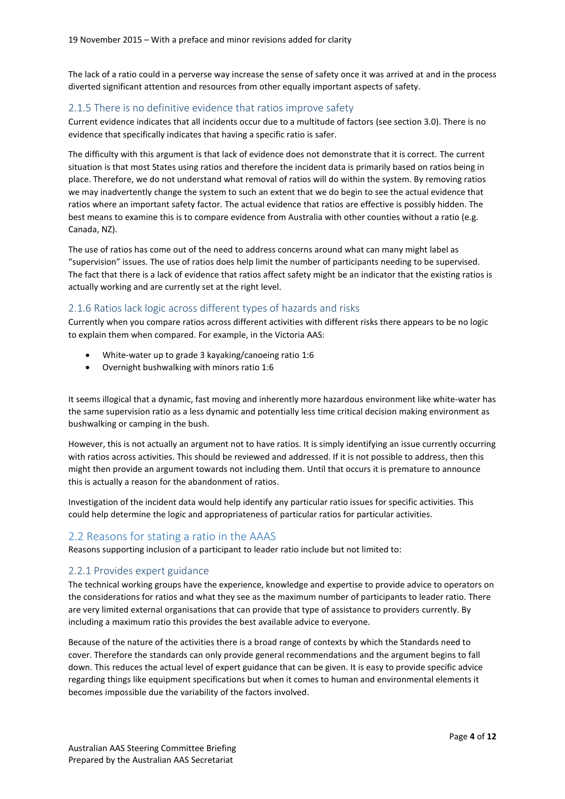The lack of a ratio could in a perverse way increase the sense of safety once it was arrived at and in the process diverted significant attention and resources from other equally important aspects of safety.

#### <span id="page-3-0"></span>2.1.5 There is no definitive evidence that ratios improve safety

Current evidence indicates that all incidents occur due to a multitude of factors (see section 3.0). There is no evidence that specifically indicates that having a specific ratio is safer.

The difficulty with this argument is that lack of evidence does not demonstrate that it is correct. The current situation is that most States using ratios and therefore the incident data is primarily based on ratios being in place. Therefore, we do not understand what removal of ratios will do within the system. By removing ratios we may inadvertently change the system to such an extent that we do begin to see the actual evidence that ratios where an important safety factor. The actual evidence that ratios are effective is possibly hidden. The best means to examine this is to compare evidence from Australia with other counties without a ratio (e.g. Canada, NZ).

The use of ratios has come out of the need to address concerns around what can many might label as "supervision" issues. The use of ratios does help limit the number of participants needing to be supervised. The fact that there is a lack of evidence that ratios affect safety might be an indicator that the existing ratios is actually working and are currently set at the right level.

#### <span id="page-3-1"></span>2.1.6 Ratios lack logic across different types of hazards and risks

Currently when you compare ratios across different activities with different risks there appears to be no logic to explain them when compared. For example, in the Victoria AAS:

- White-water up to grade 3 kayaking/canoeing ratio 1:6
- Overnight bushwalking with minors ratio 1:6

It seems illogical that a dynamic, fast moving and inherently more hazardous environment like white-water has the same supervision ratio as a less dynamic and potentially less time critical decision making environment as bushwalking or camping in the bush.

However, this is not actually an argument not to have ratios. It is simply identifying an issue currently occurring with ratios across activities. This should be reviewed and addressed. If it is not possible to address, then this might then provide an argument towards not including them. Until that occurs it is premature to announce this is actually a reason for the abandonment of ratios.

Investigation of the incident data would help identify any particular ratio issues for specific activities. This could help determine the logic and appropriateness of particular ratios for particular activities.

#### <span id="page-3-2"></span>2.2 Reasons for stating a ratio in the AAAS

Reasons supporting inclusion of a participant to leader ratio include but not limited to:

#### <span id="page-3-3"></span>2.2.1 Provides expert guidance

The technical working groups have the experience, knowledge and expertise to provide advice to operators on the considerations for ratios and what they see as the maximum number of participants to leader ratio. There are very limited external organisations that can provide that type of assistance to providers currently. By including a maximum ratio this provides the best available advice to everyone.

Because of the nature of the activities there is a broad range of contexts by which the Standards need to cover. Therefore the standards can only provide general recommendations and the argument begins to fall down. This reduces the actual level of expert guidance that can be given. It is easy to provide specific advice regarding things like equipment specifications but when it comes to human and environmental elements it becomes impossible due the variability of the factors involved.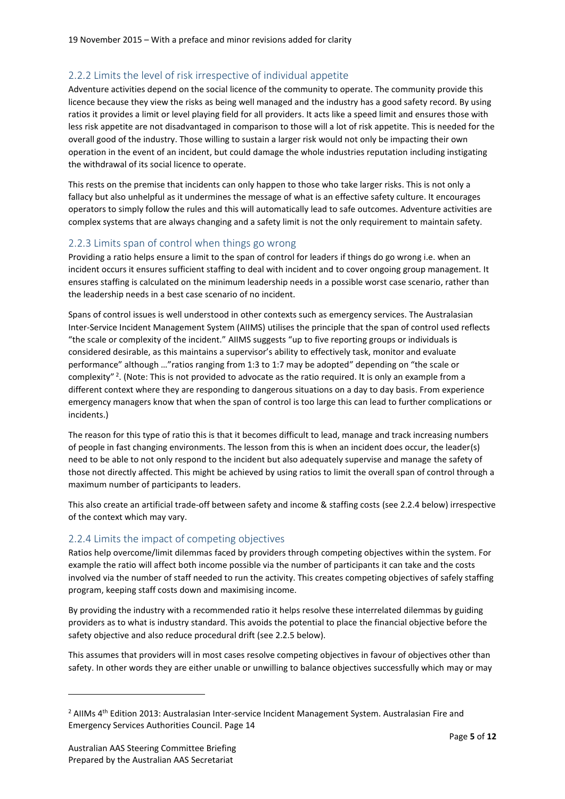### <span id="page-4-0"></span>2.2.2 Limits the level of risk irrespective of individual appetite

Adventure activities depend on the social licence of the community to operate. The community provide this licence because they view the risks as being well managed and the industry has a good safety record. By using ratios it provides a limit or level playing field for all providers. It acts like a speed limit and ensures those with less risk appetite are not disadvantaged in comparison to those will a lot of risk appetite. This is needed for the overall good of the industry. Those willing to sustain a larger risk would not only be impacting their own operation in the event of an incident, but could damage the whole industries reputation including instigating the withdrawal of its social licence to operate.

This rests on the premise that incidents can only happen to those who take larger risks. This is not only a fallacy but also unhelpful as it undermines the message of what is an effective safety culture. It encourages operators to simply follow the rules and this will automatically lead to safe outcomes. Adventure activities are complex systems that are always changing and a safety limit is not the only requirement to maintain safety.

#### <span id="page-4-1"></span>2.2.3 Limits span of control when things go wrong

Providing a ratio helps ensure a limit to the span of control for leaders if things do go wrong i.e. when an incident occurs it ensures sufficient staffing to deal with incident and to cover ongoing group management. It ensures staffing is calculated on the minimum leadership needs in a possible worst case scenario, rather than the leadership needs in a best case scenario of no incident.

Spans of control issues is well understood in other contexts such as emergency services. The Australasian Inter-Service Incident Management System (AIIMS) utilises the principle that the span of control used reflects "the scale or complexity of the incident." AIIMS suggests "up to five reporting groups or individuals is considered desirable, as this maintains a supervisor's ability to effectively task, monitor and evaluate performance" although …"ratios ranging from 1:3 to 1:7 may be adopted" depending on "the scale or complexity"<sup>2</sup>. (Note: This is not provided to advocate as the ratio required. It is only an example from a different context where they are responding to dangerous situations on a day to day basis. From experience emergency managers know that when the span of control is too large this can lead to further complications or incidents.)

The reason for this type of ratio this is that it becomes difficult to lead, manage and track increasing numbers of people in fast changing environments. The lesson from this is when an incident does occur, the leader(s) need to be able to not only respond to the incident but also adequately supervise and manage the safety of those not directly affected. This might be achieved by using ratios to limit the overall span of control through a maximum number of participants to leaders.

This also create an artificial trade-off between safety and income & staffing costs (see 2.2.4 below) irrespective of the context which may vary.

### <span id="page-4-2"></span>2.2.4 Limits the impact of competing objectives

Ratios help overcome/limit dilemmas faced by providers through competing objectives within the system. For example the ratio will affect both income possible via the number of participants it can take and the costs involved via the number of staff needed to run the activity. This creates competing objectives of safely staffing program, keeping staff costs down and maximising income.

By providing the industry with a recommended ratio it helps resolve these interrelated dilemmas by guiding providers as to what is industry standard. This avoids the potential to place the financial objective before the safety objective and also reduce procedural drift (see 2.2.5 below).

This assumes that providers will in most cases resolve competing objectives in favour of objectives other than safety. In other words they are either unable or unwilling to balance objectives successfully which may or may

<sup>&</sup>lt;sup>2</sup> AIIMs 4<sup>th</sup> Edition 2013: Australasian Inter-service Incident Management System. Australasian Fire and Emergency Services Authorities Council. Page 14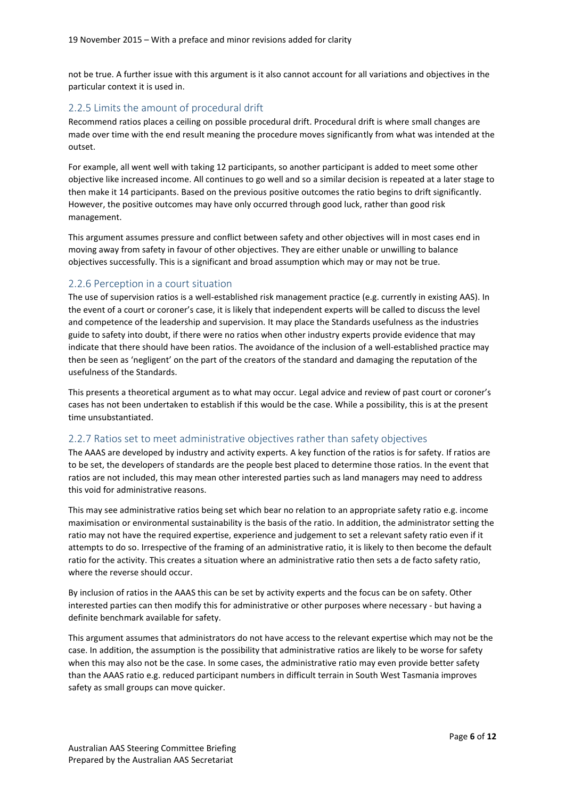not be true. A further issue with this argument is it also cannot account for all variations and objectives in the particular context it is used in.

### <span id="page-5-0"></span>2.2.5 Limits the amount of procedural drift

Recommend ratios places a ceiling on possible procedural drift. Procedural drift is where small changes are made over time with the end result meaning the procedure moves significantly from what was intended at the outset.

For example, all went well with taking 12 participants, so another participant is added to meet some other objective like increased income. All continues to go well and so a similar decision is repeated at a later stage to then make it 14 participants. Based on the previous positive outcomes the ratio begins to drift significantly. However, the positive outcomes may have only occurred through good luck, rather than good risk management.

This argument assumes pressure and conflict between safety and other objectives will in most cases end in moving away from safety in favour of other objectives. They are either unable or unwilling to balance objectives successfully. This is a significant and broad assumption which may or may not be true.

#### <span id="page-5-1"></span>2.2.6 Perception in a court situation

The use of supervision ratios is a well-established risk management practice (e.g. currently in existing AAS). In the event of a court or coroner's case, it is likely that independent experts will be called to discuss the level and competence of the leadership and supervision. It may place the Standards usefulness as the industries guide to safety into doubt, if there were no ratios when other industry experts provide evidence that may indicate that there should have been ratios. The avoidance of the inclusion of a well-established practice may then be seen as 'negligent' on the part of the creators of the standard and damaging the reputation of the usefulness of the Standards.

This presents a theoretical argument as to what may occur. Legal advice and review of past court or coroner's cases has not been undertaken to establish if this would be the case. While a possibility, this is at the present time unsubstantiated.

#### <span id="page-5-2"></span>2.2.7 Ratios set to meet administrative objectives rather than safety objectives

The AAAS are developed by industry and activity experts. A key function of the ratios is for safety. If ratios are to be set, the developers of standards are the people best placed to determine those ratios. In the event that ratios are not included, this may mean other interested parties such as land managers may need to address this void for administrative reasons.

This may see administrative ratios being set which bear no relation to an appropriate safety ratio e.g. income maximisation or environmental sustainability is the basis of the ratio. In addition, the administrator setting the ratio may not have the required expertise, experience and judgement to set a relevant safety ratio even if it attempts to do so. Irrespective of the framing of an administrative ratio, it is likely to then become the default ratio for the activity. This creates a situation where an administrative ratio then sets a de facto safety ratio, where the reverse should occur.

By inclusion of ratios in the AAAS this can be set by activity experts and the focus can be on safety. Other interested parties can then modify this for administrative or other purposes where necessary - but having a definite benchmark available for safety.

This argument assumes that administrators do not have access to the relevant expertise which may not be the case. In addition, the assumption is the possibility that administrative ratios are likely to be worse for safety when this may also not be the case. In some cases, the administrative ratio may even provide better safety than the AAAS ratio e.g. reduced participant numbers in difficult terrain in South West Tasmania improves safety as small groups can move quicker.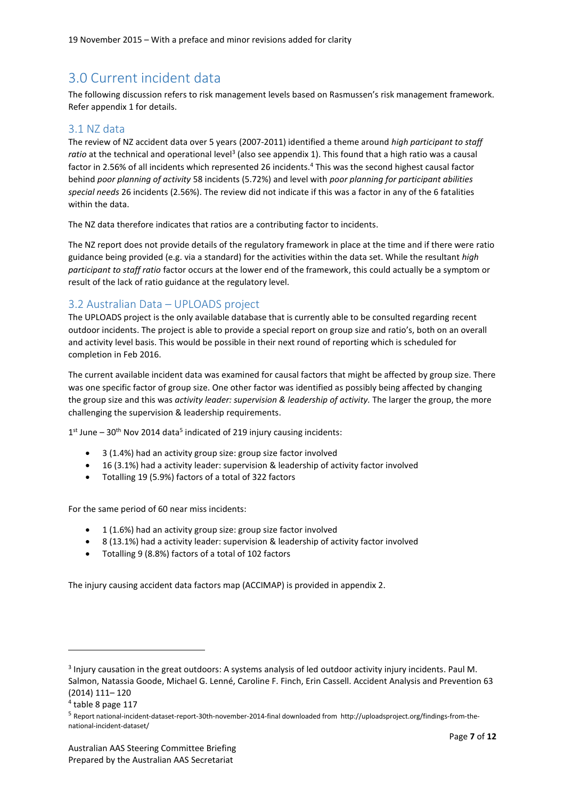# <span id="page-6-0"></span>3.0 Current incident data

The following discussion refers to risk management levels based on Rasmussen's risk management framework. Refer appendix 1 for details.

## <span id="page-6-1"></span>3.1 NZ data

The review of NZ accident data over 5 years (2007-2011) identified a theme around *high participant to staff*  ratio at the technical and operational level<sup>3</sup> (also see appendix 1). This found that a high ratio was a causal factor in 2.56% of all incidents which represented 26 incidents.<sup>4</sup> This was the second highest causal factor behind *poor planning of activity* 58 incidents (5.72%) and level with *poor planning for participant abilities special needs* 26 incidents (2.56%). The review did not indicate if this was a factor in any of the 6 fatalities within the data.

The NZ data therefore indicates that ratios are a contributing factor to incidents.

The NZ report does not provide details of the regulatory framework in place at the time and if there were ratio guidance being provided (e.g. via a standard) for the activities within the data set. While the resultant *high participant to staff ratio* factor occurs at the lower end of the framework, this could actually be a symptom or result of the lack of ratio guidance at the regulatory level.

### <span id="page-6-2"></span>3.2 Australian Data – UPLOADS project

The UPLOADS project is the only available database that is currently able to be consulted regarding recent outdoor incidents. The project is able to provide a special report on group size and ratio's, both on an overall and activity level basis. This would be possible in their next round of reporting which is scheduled for completion in Feb 2016.

The current available incident data was examined for causal factors that might be affected by group size. There was one specific factor of group size. One other factor was identified as possibly being affected by changing the group size and this was *activity leader: supervision & leadership of activity.* The larger the group, the more challenging the supervision & leadership requirements.

 $1<sup>st</sup>$  June – 30<sup>th</sup> Nov 2014 data<sup>5</sup> indicated of 219 injury causing incidents:

- 3 (1.4%) had an activity group size: group size factor involved
- 16 (3.1%) had a activity leader: supervision & leadership of activity factor involved
- Totalling 19 (5.9%) factors of a total of 322 factors

For the same period of 60 near miss incidents:

- 1 (1.6%) had an activity group size: group size factor involved
- 8 (13.1%) had a activity leader: supervision & leadership of activity factor involved
- Totalling 9 (8.8%) factors of a total of 102 factors

The injury causing accident data factors map (ACCIMAP) is provided in appendix 2.

<sup>&</sup>lt;sup>3</sup> Injury causation in the great outdoors: A systems analysis of led outdoor activity injury incidents. Paul M. Salmon, Natassia Goode, Michael G. Lenné, Caroline F. Finch, Erin Cassell. Accident Analysis and Prevention 63 (2014) 111– 120

<sup>4</sup> table 8 page 117

<sup>5</sup> Report national-incident-dataset-report-30th-november-2014-final downloaded from http://uploadsproject.org/findings-from-thenational-incident-dataset/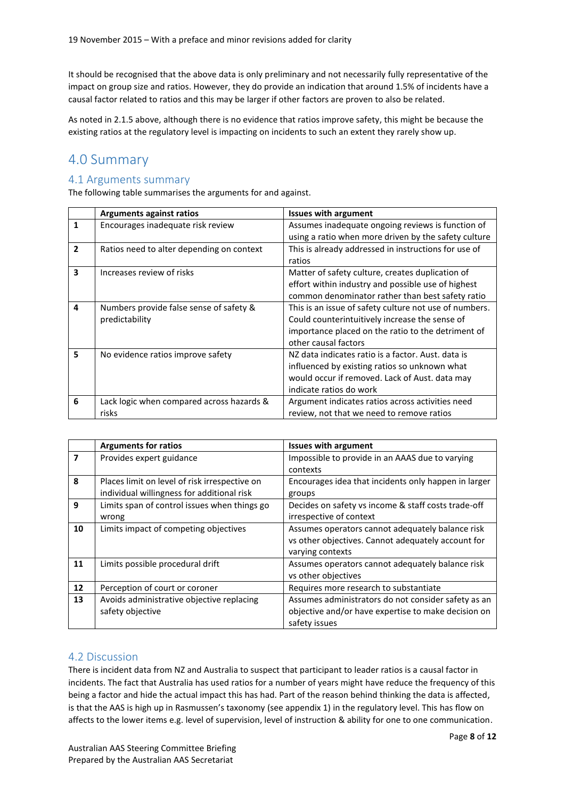It should be recognised that the above data is only preliminary and not necessarily fully representative of the impact on group size and ratios. However, they do provide an indication that around 1.5% of incidents have a causal factor related to ratios and this may be larger if other factors are proven to also be related.

As noted in 2.1.5 above, although there is no evidence that ratios improve safety, this might be because the existing ratios at the regulatory level is impacting on incidents to such an extent they rarely show up.

## <span id="page-7-0"></span>4.0 Summary

## <span id="page-7-1"></span>4.1 Arguments summary

The following table summarises the arguments for and against.

|              | <b>Arguments against ratios</b>           | <b>Issues with argument</b>                            |
|--------------|-------------------------------------------|--------------------------------------------------------|
| 1            | Encourages inadequate risk review         | Assumes inadequate ongoing reviews is function of      |
|              |                                           | using a ratio when more driven by the safety culture   |
| $\mathbf{2}$ | Ratios need to alter depending on context | This is already addressed in instructions for use of   |
|              |                                           | ratios                                                 |
| 3            | Increases review of risks                 | Matter of safety culture, creates duplication of       |
|              |                                           | effort within industry and possible use of highest     |
|              |                                           | common denominator rather than best safety ratio       |
| 4            | Numbers provide false sense of safety &   | This is an issue of safety culture not use of numbers. |
|              | predictability                            | Could counterintuitively increase the sense of         |
|              |                                           | importance placed on the ratio to the detriment of     |
|              |                                           | other causal factors                                   |
| 5            | No evidence ratios improve safety         | NZ data indicates ratio is a factor. Aust. data is     |
|              |                                           | influenced by existing ratios so unknown what          |
|              |                                           | would occur if removed. Lack of Aust. data may         |
|              |                                           | indicate ratios do work                                |
| 6            | Lack logic when compared across hazards & | Argument indicates ratios across activities need       |
|              | risks                                     | review, not that we need to remove ratios              |

|    | <b>Arguments for ratios</b>                   | <b>Issues with argument</b>                          |
|----|-----------------------------------------------|------------------------------------------------------|
| 7  | Provides expert guidance                      | Impossible to provide in an AAAS due to varying      |
|    |                                               | contexts                                             |
| 8  | Places limit on level of risk irrespective on | Encourages idea that incidents only happen in larger |
|    | individual willingness for additional risk    | groups                                               |
| 9  | Limits span of control issues when things go  | Decides on safety vs income & staff costs trade-off  |
|    | wrong                                         | irrespective of context                              |
| 10 | Limits impact of competing objectives         | Assumes operators cannot adequately balance risk     |
|    |                                               | vs other objectives. Cannot adequately account for   |
|    |                                               | varying contexts                                     |
| 11 | Limits possible procedural drift              | Assumes operators cannot adequately balance risk     |
|    |                                               | vs other objectives                                  |
| 12 | Perception of court or coroner                | Requires more research to substantiate               |
| 13 | Avoids administrative objective replacing     | Assumes administrators do not consider safety as an  |
|    | safety objective                              | objective and/or have expertise to make decision on  |
|    |                                               | safety issues                                        |

### <span id="page-7-2"></span>4.2 Discussion

There is incident data from NZ and Australia to suspect that participant to leader ratios is a causal factor in incidents. The fact that Australia has used ratios for a number of years might have reduce the frequency of this being a factor and hide the actual impact this has had. Part of the reason behind thinking the data is affected, is that the AAS is high up in Rasmussen's taxonomy (see appendix 1) in the regulatory level. This has flow on affects to the lower items e.g. level of supervision, level of instruction & ability for one to one communication.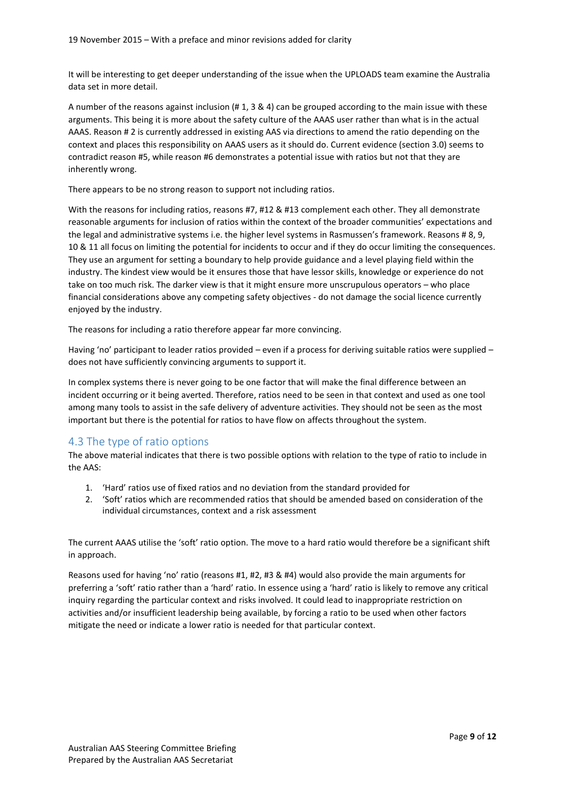It will be interesting to get deeper understanding of the issue when the UPLOADS team examine the Australia data set in more detail.

A number of the reasons against inclusion (# 1, 3 & 4) can be grouped according to the main issue with these arguments. This being it is more about the safety culture of the AAAS user rather than what is in the actual AAAS. Reason # 2 is currently addressed in existing AAS via directions to amend the ratio depending on the context and places this responsibility on AAAS users as it should do. Current evidence (section 3.0) seems to contradict reason #5, while reason #6 demonstrates a potential issue with ratios but not that they are inherently wrong.

There appears to be no strong reason to support not including ratios.

With the reasons for including ratios, reasons #7, #12 & #13 complement each other. They all demonstrate reasonable arguments for inclusion of ratios within the context of the broader communities' expectations and the legal and administrative systems i.e. the higher level systems in Rasmussen's framework. Reasons # 8, 9, 10 & 11 all focus on limiting the potential for incidents to occur and if they do occur limiting the consequences. They use an argument for setting a boundary to help provide guidance and a level playing field within the industry. The kindest view would be it ensures those that have lessor skills, knowledge or experience do not take on too much risk. The darker view is that it might ensure more unscrupulous operators – who place financial considerations above any competing safety objectives - do not damage the social licence currently enjoyed by the industry.

The reasons for including a ratio therefore appear far more convincing.

Having 'no' participant to leader ratios provided – even if a process for deriving suitable ratios were supplied – does not have sufficiently convincing arguments to support it.

In complex systems there is never going to be one factor that will make the final difference between an incident occurring or it being averted. Therefore, ratios need to be seen in that context and used as one tool among many tools to assist in the safe delivery of adventure activities. They should not be seen as the most important but there is the potential for ratios to have flow on affects throughout the system.

### <span id="page-8-0"></span>4.3 The type of ratio options

The above material indicates that there is two possible options with relation to the type of ratio to include in the AAS:

- 1. 'Hard' ratios use of fixed ratios and no deviation from the standard provided for
- 2. 'Soft' ratios which are recommended ratios that should be amended based on consideration of the individual circumstances, context and a risk assessment

The current AAAS utilise the 'soft' ratio option. The move to a hard ratio would therefore be a significant shift in approach.

Reasons used for having 'no' ratio (reasons #1, #2, #3 & #4) would also provide the main arguments for preferring a 'soft' ratio rather than a 'hard' ratio. In essence using a 'hard' ratio is likely to remove any critical inquiry regarding the particular context and risks involved. It could lead to inappropriate restriction on activities and/or insufficient leadership being available, by forcing a ratio to be used when other factors mitigate the need or indicate a lower ratio is needed for that particular context.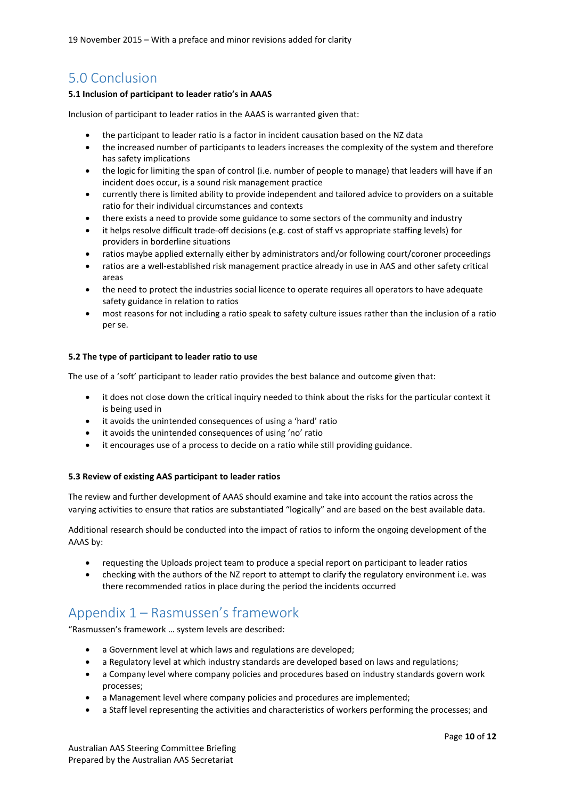19 November 2015 – With a preface and minor revisions added for clarity

## <span id="page-9-0"></span>5.0 Conclusion

#### **5.1 Inclusion of participant to leader ratio's in AAAS**

Inclusion of participant to leader ratios in the AAAS is warranted given that:

- the participant to leader ratio is a factor in incident causation based on the NZ data
- the increased number of participants to leaders increases the complexity of the system and therefore has safety implications
- the logic for limiting the span of control (i.e. number of people to manage) that leaders will have if an incident does occur, is a sound risk management practice
- currently there is limited ability to provide independent and tailored advice to providers on a suitable ratio for their individual circumstances and contexts
- there exists a need to provide some guidance to some sectors of the community and industry
- it helps resolve difficult trade-off decisions (e.g. cost of staff vs appropriate staffing levels) for providers in borderline situations
- ratios maybe applied externally either by administrators and/or following court/coroner proceedings
- ratios are a well-established risk management practice already in use in AAS and other safety critical areas
- the need to protect the industries social licence to operate requires all operators to have adequate safety guidance in relation to ratios
- most reasons for not including a ratio speak to safety culture issues rather than the inclusion of a ratio per se.

#### **5.2 The type of participant to leader ratio to use**

The use of a 'soft' participant to leader ratio provides the best balance and outcome given that:

- it does not close down the critical inquiry needed to think about the risks for the particular context it is being used in
- it avoids the unintended consequences of using a 'hard' ratio
- it avoids the unintended consequences of using 'no' ratio
- it encourages use of a process to decide on a ratio while still providing guidance.

#### **5.3 Review of existing AAS participant to leader ratios**

The review and further development of AAAS should examine and take into account the ratios across the varying activities to ensure that ratios are substantiated "logically" and are based on the best available data.

Additional research should be conducted into the impact of ratios to inform the ongoing development of the AAAS by:

- requesting the Uploads project team to produce a special report on participant to leader ratios
- checking with the authors of the NZ report to attempt to clarify the regulatory environment i.e. was there recommended ratios in place during the period the incidents occurred

## <span id="page-9-1"></span>Appendix 1 – Rasmussen's framework

"Rasmussen's framework … system levels are described:

- a Government level at which laws and regulations are developed;
- a Regulatory level at which industry standards are developed based on laws and regulations;
- a Company level where company policies and procedures based on industry standards govern work processes;
- a Management level where company policies and procedures are implemented;
- a Staff level representing the activities and characteristics of workers performing the processes; and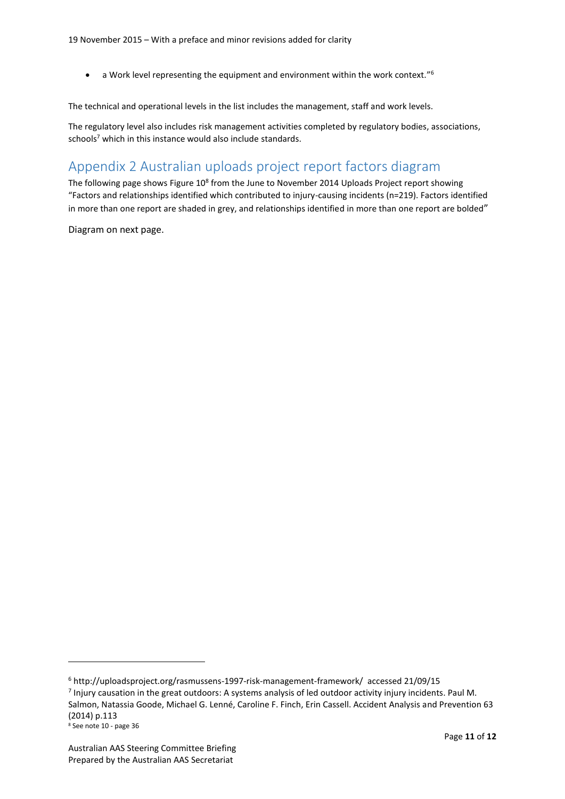$\bullet$  a Work level representing the equipment and environment within the work context."<sup>6</sup>

The technical and operational levels in the list includes the management, staff and work levels.

The regulatory level also includes risk management activities completed by regulatory bodies, associations, schools<sup>7</sup> which in this instance would also include standards.

# <span id="page-10-0"></span>Appendix 2 Australian uploads project report factors diagram

The following page shows Figure  $10^8$  from the June to November 2014 Uploads Project report showing "Factors and relationships identified which contributed to injury-causing incidents (n=219). Factors identified in more than one report are shaded in grey, and relationships identified in more than one report are bolded"

Diagram on next page.

<sup>6</sup> http://uploadsproject.org/rasmussens-1997-risk-management-framework/ accessed 21/09/15

<sup>&</sup>lt;sup>7</sup> Injury causation in the great outdoors: A systems analysis of led outdoor activity injury incidents. Paul M.

Salmon, Natassia Goode, Michael G. Lenné, Caroline F. Finch, Erin Cassell. Accident Analysis and Prevention 63 (2014) p.113

 $8$  See note 10 - page 36